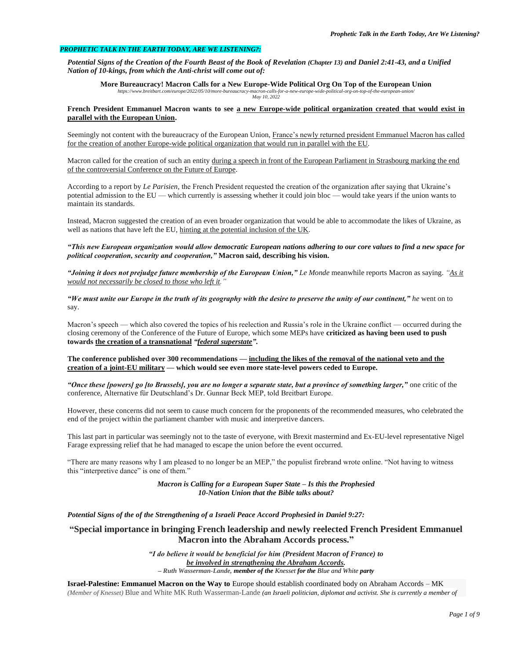## *PROPHETIC TALK IN THE EARTH TODAY, ARE WE LISTENING?:*

*Potential Signs of the Creation of the Fourth Beast of the Book of Revelation (Chapter 13) and Daniel 2:41-43, and a Unified Nation of 10-kings, from which the Anti-christ will come out of:*

**More Bureaucracy! Macron Calls for a New Europe-Wide Political Org On Top of the European Union** *https://www.breitbart.com/europe/2022/05/10/more-bureaucracy-macron-calls-for-a-new-europe-wide-political-org-on-top-of-the-european-union/ May 10, 2022*

### **French President Emmanuel Macron wants to see a new Europe-wide political organization created that would exist in parallel with the European Union.**

Seemingly not content with the bureaucracy of the European Union, France's newly returned president Emmanuel Macron has called for the creation of another Europe-wide political organization that would run in parallel with the EU.

Macron called for the creation of such an entity during a speech in front of the European Parliament in Strasbourg marking the end of the controversial Conference on the Future of Europe.

According to a report by *Le Parisien*, the French President requested the creation of the organization after saying that Ukraine's potential admission to the EU — which currently is assessing whether it could join bloc — would take years if the union wants to maintain its standards.

Instead, Macron suggested the creation of an even broader organization that would be able to accommodate the likes of Ukraine, as well as nations that have left the EU, hinting at the potential inclusion of the UK.

*"This new European organization would allow democratic European nations adhering to our core values to find a new space for political cooperation, security and cooperation,"* **Macron said, describing his vision.**

*"Joining it does not prejudge future membership of the European Union," Le Monde* meanwhile reports Macron as saying. *"As it would not necessarily be closed to those who left it.* 

*"We must unite our Europe in the truth of its geography with the desire to preserve the unity of our continent," he* went on to say.

Macron's speech — which also covered the topics of his reelection and Russia's role in the Ukraine conflict — occurred during the closing ceremony of the Conference of the Future of Europe, which some MEPs have **criticized as having been used to push towards the creation of a transnational** *"federal superstate"***.**

**The conference published over 300 recommendations — including the likes of the removal of the national veto and the creation of a joint-EU military — which would see even more state-level powers ceded to Europe.**

*"Once these [powers] go [to Brussels], you are no longer a separate state, but a province of something larger,"* one critic of the conference, Alternative für Deutschland's Dr. Gunnar Beck MEP, told Breitbart Europe.

However, these concerns did not seem to cause much concern for the proponents of the recommended measures, who celebrated the end of the project within the parliament chamber with music and interpretive dancers.

This last part in particular was seemingly not to the taste of everyone, with Brexit mastermind and Ex-EU-level representative Nigel Farage expressing relief that he had managed to escape the union before the event occurred.

"There are many reasons why I am pleased to no longer be an MEP," the populist firebrand wrote online. "Not having to witness this "interpretive dance" is one of them."

> *Macron is Calling for a European Super State – Is this the Prophesied 10-Nation Union that the Bible talks about?*

*Potential Signs of the of the Strengthening of a Israeli Peace Accord Prophesied in Daniel 9:27:*

# **"Special importance in bringing French leadership and newly reelected French President Emmanuel Macron into the Abraham Accords process."**

*"I do believe it would be beneficial for him (President Macron of France) to be involved in strengthening the Abraham Accords. – Ruth Wasserman-Lande, member of the Knesset for the Blue and White party*

**Israel-Palestine: Emmanuel Macron on the Way to** Europe should establish coordinated body on Abraham Accords – MK *(Member of Knesset)* Blue and White MK Ruth Wasserman-Lande *(an Israeli politician, diplomat and activist. She is currently a member of*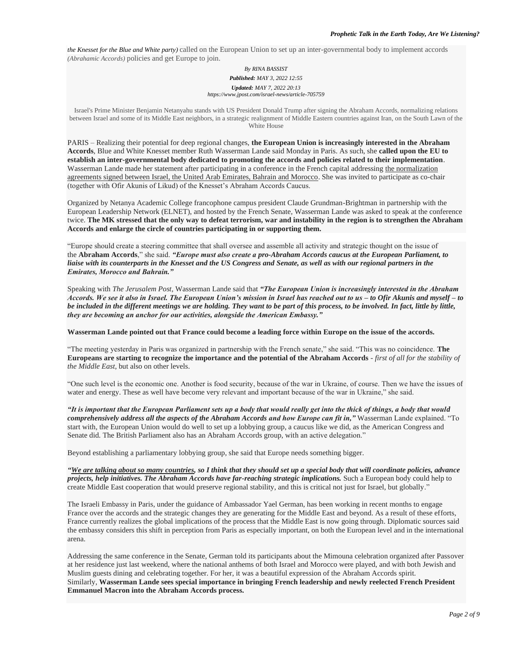*the Knesset for the Blue and White party)* called on the European Union to set up an inter-governmental body to implement accords *(Abrahamic Accords)* policies and get Europe to join.

#### *By RINA BASSIST*

*Published: MAY 3, 2022 12:55*

# *Updated: MAY 7, 2022 20:13*

*https://www.jpost.com/israel-news/article-705759*

Israel's Prime Minister Benjamin Netanyahu stands with US President Donald Trump after signing the Abraham Accords, normalizing relations between Israel and some of its Middle East neighbors, in a strategic realignment of Middle Eastern countries against Iran, on the South Lawn of the White House

PARIS – Realizing their potential for deep regional changes, **the European Union is increasingly interested in the Abraham Accords**, Blue and White Knesset member Ruth Wasserman Lande said Monday in Paris. As such, she **called upon the EU to establish an inter-governmental body dedicated to promoting the accords and policies related to their implementation**. Wasserman Lande made her statement after participating in a conference in the French capital addressing the normalization agreements signed between Israel, the United Arab Emirates, Bahrain and Morocco. She was invited to participate as co-chair (together with Ofir Akunis of Likud) of the Knesset's Abraham Accords Caucus.

Organized by Netanya Academic College francophone campus president Claude Grundman-Brightman in partnership with the European Leadership Network (ELNET), and hosted by the French Senate, Wasserman Lande was asked to speak at the conference twice. **The MK stressed that the only way to defeat terrorism, war and instability in the region is to strengthen the Abraham Accords and enlarge the circle of countries participating in or supporting them.**

"Europe should create a steering committee that shall oversee and assemble all activity and strategic thought on the issue of the **Abraham Accords**," she said. *"Europe must also create a pro-Abraham Accords caucus at the European Parliament, to liaise with its counterparts in the Knesset and the US Congress and Senate, as well as with our regional partners in the Emirates, Morocco and Bahrain."*

Speaking with *The Jerusalem Post*, Wasserman Lande said that *"The European Union is increasingly interested in the Abraham Accords. We see it also in Israel. The European Union's mission in Israel has reached out to us – to Ofir Akunis and myself – to be included in the different meetings we are holding. They want to be part of this process, to be involved. In fact, little by little, they are becoming an anchor for our activities, alongside the American Embassy."*

**Wasserman Lande pointed out that France could become a leading force within Europe on the issue of the accords.**

"The meeting yesterday in Paris was organized in partnership with the French senate," she said. "This was no coincidence. **The Europeans are starting to recognize the importance and the potential of the Abraham Accords** *- first of all for the stability of the Middle East*, but also on other levels.

"One such level is the economic one. Another is food security, because of the war in Ukraine, of course. Then we have the issues of water and energy. These as well have become very relevant and important because of the war in Ukraine," she said.

*"It is important that the European Parliament sets up a body that would really get into the thick of things, a body that would comprehensively address all the aspects of the Abraham Accords and how Europe can fit in,"* Wasserman Lande explained. "To start with, the European Union would do well to set up a lobbying group, a caucus like we did, as the American Congress and Senate did. The British Parliament also has an Abraham Accords group, with an active delegation."

Beyond establishing a parliamentary lobbying group, she said that Europe needs something bigger.

*"We are talking about so many countries, so I think that they should set up a special body that will coordinate policies, advance projects, help initiatives. The Abraham Accords have far-reaching strategic implications.* Such a European body could help to create Middle East cooperation that would preserve regional stability, and this is critical not just for Israel, but globally."

The Israeli Embassy in Paris, under the guidance of Ambassador Yael German, has been working in recent months to engage France over the accords and the strategic changes they are generating for the Middle East and beyond. As a result of these efforts, France currently realizes the global implications of the process that the Middle East is now going through. Diplomatic sources said the embassy considers this shift in perception from Paris as especially important, on both the European level and in the international arena.

Addressing the same conference in the Senate, German told its participants about the Mimouna celebration organized after Passover at her residence just last weekend, where the national anthems of both Israel and Morocco were played, and with both Jewish and Muslim guests dining and celebrating together. For her, it was a beautiful expression of the Abraham Accords spirit. Similarly, **Wasserman Lande sees special importance in bringing French leadership and newly reelected French President Emmanuel Macron into the Abraham Accords process.**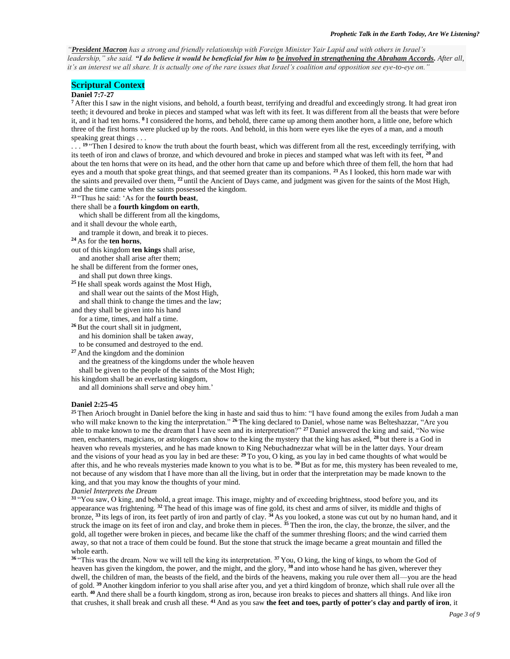*"President Macron has a strong and friendly relationship with Foreign Minister Yair Lapid and with others in Israel's leadership," she said. "I do believe it would be beneficial for him to be involved in strengthening the Abraham Accords. After all, it's an interest we all share. It is actually one of the rare issues that Israel's coalition and opposition see eye-to-eye on."*

# **Scriptural Context**

#### **Daniel 7:7-27**

**<sup>7</sup>** After this I saw in the night visions, and behold, a fourth beast, terrifying and dreadful and exceedingly strong. It had great iron teeth; it devoured and broke in pieces and stamped what was left with its feet. It was different from all the beasts that were before it, and it had ten horns. **<sup>8</sup>** I considered the horns, and behold, there came up among them another horn, a little one, before which three of the first horns were plucked up by the roots. And behold, in this horn were eyes like the eyes of a man, and a mouth speaking great things . . .

...<sup>19</sup> "Then I desired to know the truth about the fourth beast, which was different from all the rest, exceedingly terrifying, with its teeth of iron and claws of bronze, and which devoured and broke in pieces and stamped what was left with its feet, **<sup>20</sup>** and about the ten horns that were on its head, and the other horn that came up and before which three of them fell, the horn that had eyes and a mouth that spoke great things, and that seemed greater than its companions. **<sup>21</sup>** As I looked, this horn made war with the saints and prevailed over them, **<sup>22</sup>** until the Ancient of Days came, and judgment was given for the saints of the Most High, and the time came when the saints possessed the kingdom.

**<sup>23</sup>** "Thus he said: 'As for the **fourth beast**,

there shall be a **fourth kingdom on earth**,

which shall be different from all the kingdoms,

and it shall devour the whole earth,

and trample it down, and break it to pieces.

**<sup>24</sup>** As for the **ten horns**,

out of this kingdom **ten kings** shall arise, and another shall arise after them;

he shall be different from the former ones, and shall put down three kings.

<sup>25</sup> He shall speak words against the Most High, and shall wear out the saints of the Most High, and shall think to change the times and the law;

and they shall be given into his hand

for a time, times, and half a time.

**<sup>26</sup>** But the court shall sit in judgment, and his dominion shall be taken away, to be consumed and destroyed to the end.

**<sup>27</sup>** And the kingdom and the dominion and the greatness of the kingdoms under the whole heaven shall be given to the people of the saints of the Most High;

his kingdom shall be an everlasting kingdom,

and all dominions shall serve and obey him.'

#### **Daniel 2:25-45**

**<sup>25</sup>** Then Arioch brought in Daniel before the king in haste and said thus to him: "I have found among the exiles from Judah a man who will make known to the king the interpretation." **<sup>26</sup>** The king declared to Daniel, whose name was Belteshazzar, "Are you able to make known to me the dream that I have seen and its interpretation?" **<sup>27</sup>** Daniel answered the king and said, "No wise men, enchanters, magicians, or astrologers can show to the king the mystery that the king has asked, **<sup>28</sup>** but there is a God in heaven who reveals mysteries, and he has made known to King Nebuchadnezzar what will be in the latter days. Your dream and the visions of your head as you lay in bed are these: **<sup>29</sup>** To you, O king, as you lay in bed came thoughts of what would be after this, and he who reveals mysteries made known to you what is to be. **<sup>30</sup>** But as for me, this mystery has been revealed to me, not because of any wisdom that I have more than all the living, but in order that the interpretation may be made known to the king, and that you may know the thoughts of your mind.

#### *Daniel Interprets the Dream*

**<sup>31</sup>** "You saw, O king, and behold, a great image. This image, mighty and of exceeding brightness, stood before you, and its appearance was frightening. **<sup>32</sup>** The head of this image was of fine gold, its chest and arms of silver, its middle and thighs of bronze, **<sup>33</sup>** its legs of iron, its feet partly of iron and partly of clay. **<sup>34</sup>** As you looked, a stone was cut out by no human hand, and it struck the image on its feet of iron and clay, and broke them in pieces. **<sup>35</sup>** Then the iron, the clay, the bronze, the silver, and the gold, all together were broken in pieces, and became like the chaff of the summer threshing floors; and the wind carried them away, so that not a trace of them could be found. But the stone that struck the image became a great mountain and filled the whole earth.

**<sup>36</sup>** "This was the dream. Now we will tell the king its interpretation. **<sup>37</sup>** You, O king, the king of kings, to whom the God of heaven has given the kingdom, the power, and the might, and the glory, **<sup>38</sup>** and into whose hand he has given, wherever they dwell, the children of man, the beasts of the field, and the birds of the heavens, making you rule over them all—you are the head of gold. **<sup>39</sup>** Another kingdom inferior to you shall arise after you, and yet a third kingdom of bronze, which shall rule over all the earth. <sup>40</sup> And there shall be a fourth kingdom, strong as iron, because iron breaks to pieces and shatters all things. And like iron that crushes, it shall break and crush all these. **<sup>41</sup>** And as you saw **the feet and toes, partly of potter's clay and partly of iron**, it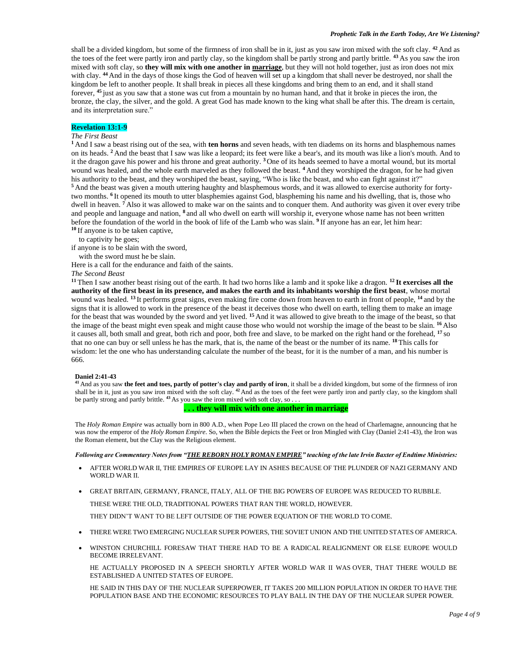shall be a divided kingdom, but some of the firmness of iron shall be in it, just as you saw iron mixed with the soft clay. **<sup>42</sup>** And as the toes of the feet were partly iron and partly clay, so the kingdom shall be partly strong and partly brittle. **<sup>43</sup>** As you saw the iron mixed with soft clay, so **they will mix with one another in marriage**, but they will not hold together, just as iron does not mix with clay. **<sup>44</sup>** And in the days of those kings the God of heaven will set up a kingdom that shall never be destroyed, nor shall the kingdom be left to another people. It shall break in pieces all these kingdoms and bring them to an end, and it shall stand forever, **<sup>45</sup>** just as you saw that a stone was cut from a mountain by no human hand, and that it broke in pieces the iron, the bronze, the clay, the silver, and the gold. A great God has made known to the king what shall be after this. The dream is certain, and its interpretation sure."

# **Revelation 13:1-9**

# *The First Beast*

**<sup>1</sup>** And I saw a beast rising out of the sea, with **ten horns** and seven heads, with ten diadems on its horns and blasphemous names on its heads. **<sup>2</sup>** And the beast that I saw was like a leopard; its feet were like a bear's, and its mouth was like a lion's mouth. And to it the dragon gave his power and his throne and great authority. **<sup>3</sup>** One of its heads seemed to have a mortal wound, but its mortal wound was healed, and the whole earth marveled as they followed the beast. **<sup>4</sup>** And they worshiped the dragon, for he had given his authority to the beast, and they worshiped the beast, saying, "Who is like the beast, and who can fight against it?" **<sup>5</sup>** And the beast was given a mouth uttering haughty and blasphemous words, and it was allowed to exercise authority for fortytwo months. <sup>6</sup>It opened its mouth to utter blasphemies against God, blaspheming his name and his dwelling, that is, those who dwell in heaven. **<sup>7</sup>** Also it was allowed to make war on the saints and to conquer them. And authority was given it over every tribe and people and language and nation, <sup>8</sup> and all who dwell on earth will worship it, everyone whose name has not been written before the foundation of the world in the book of life of the Lamb who was slain. **<sup>9</sup>** If anyone has an ear, let him hear:

**<sup>10</sup>** If anyone is to be taken captive,

to captivity he goes;

if anyone is to be slain with the sword,

with the sword must he be slain.

Here is a call for the endurance and faith of the saints.

*The Second Beast*

**<sup>11</sup>** Then I saw another beast rising out of the earth. It had two horns like a lamb and it spoke like a dragon. **<sup>12</sup> It exercises all the authority of the first beast in its presence, and makes the earth and its inhabitants worship the first beast**, whose mortal wound was healed. **<sup>13</sup>** It performs great signs, even making fire come down from heaven to earth in front of people, **<sup>14</sup>** and by the signs that it is allowed to work in the presence of the beast it deceives those who dwell on earth, telling them to make an image for the beast that was wounded by the sword and yet lived. **<sup>15</sup>** And it was allowed to give breath to the image of the beast, so that the image of the beast might even speak and might cause those who would not worship the image of the beast to be slain. **<sup>16</sup>** Also it causes all, both small and great, both rich and poor, both free and slave, to be marked on the right hand or the forehead, **<sup>17</sup>** so that no one can buy or sell unless he has the mark, that is, the name of the beast or the number of its name. **<sup>18</sup>** This calls for wisdom: let the one who has understanding calculate the number of the beast, for it is the number of a man, and his number is 666.

### **Daniel 2:41-43**

**<sup>41</sup>** And as you saw **the feet and toes, partly of potter's clay and partly of iron**, it shall be a divided kingdom, but some of the firmness of iron shall be in it, just as you saw iron mixed with the soft clay. **<sup>42</sup>** And as the toes of the feet were partly iron and partly clay, so the kingdom shall be partly strong and partly brittle. **<sup>43</sup>** As you saw the iron mixed with soft clay, so . . .

### **. . . they will mix with one another in marriage**

The *Holy Roman Empire* was actually born in 800 A.D., when Pope Leo III placed the crown on the head of Charlemagne, announcing that he was now the emperor of the *Holy Roman Empire*. So, when the Bible depicts the Feet or Iron Mingled with Clay (Daniel 2:41-43), the Iron was the Roman element, but the Clay was the Religious element.

*Following are Commentary Notes from "THE REBORN HOLY ROMAN EMPIRE" teaching of the late Irvin Baxter of Endtime Ministries:* 

- AFTER WORLD WAR II, THE EMPIRES OF EUROPE LAY IN ASHES BECAUSE OF THE PLUNDER OF NAZI GERMANY AND WORLD WAR II.
- GREAT BRITAIN, GERMANY, FRANCE, ITALY, ALL OF THE BIG POWERS OF EUROPE WAS REDUCED TO RUBBLE.

THESE WERE THE OLD, TRADITIONAL POWERS THAT RAN THE WORLD, HOWEVER.

THEY DIDN'T WANT TO BE LEFT OUTSIDE OF THE POWER EQUATION OF THE WORLD TO COME.

- THERE WERE TWO EMERGING NUCLEAR SUPER POWERS, THE SOVIET UNION AND THE UNITED STATES OF AMERICA.
- WINSTON CHURCHILL FORESAW THAT THERE HAD TO BE A RADICAL REALIGNMENT OR ELSE EUROPE WOULD BECOME IRRELEVANT.

HE ACTUALLY PROPOSED IN A SPEECH SHORTLY AFTER WORLD WAR II WAS OVER, THAT THERE WOULD BE ESTABLISHED A UNITED STATES OF EUROPE.

HE SAID IN THIS DAY OF THE NUCLEAR SUPERPOWER, IT TAKES 200 MILLION POPULATION IN ORDER TO HAVE THE POPULATION BASE AND THE ECONOMIC RESOURCES TO PLAY BALL IN THE DAY OF THE NUCLEAR SUPER POWER.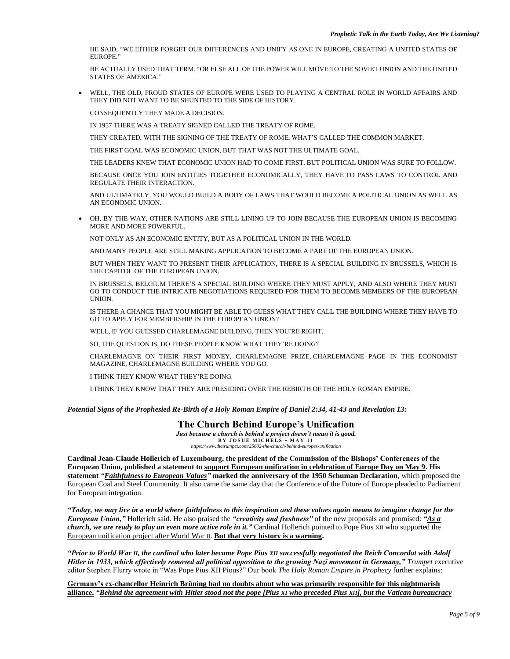HE SAID, "WE EITHER FORGET OUR DIFFERENCES AND UNIFY AS ONE IN EUROPE, CREATING A UNITED STATES OF EUROPE."

HE ACTUALLY USED THAT TERM, "OR ELSE ALL OF THE POWER WILL MOVE TO THE SOVIET UNION AND THE UNITED STATES OF AMERICA."

• WELL, THE OLD, PROUD STATES OF EUROPE WERE USED TO PLAYING A CENTRAL ROLE IN WORLD AFFAIRS AND THEY DID NOT WANT TO BE SHUNTED TO THE SIDE OF HISTORY.

CONSEQUENTLY THEY MADE A DECISION.

IN 1957 THERE WAS A TREATY SIGNED CALLED THE TREATY OF ROME.

THEY CREATED, WITH THE SIGNING OF THE TREATY OF ROME, WHAT'S CALLED THE COMMON MARKET.

THE FIRST GOAL WAS ECONOMIC UNION, BUT THAT WAS NOT THE ULTIMATE GOAL.

THE LEADERS KNEW THAT ECONOMIC UNION HAD TO COME FIRST, BUT POLITICAL UNION WAS SURE TO FOLLOW.

BECAUSE ONCE YOU JOIN ENTITIES TOGETHER ECONOMICALLY, THEY HAVE TO PASS LAWS TO CONTROL AND REGULATE THEIR INTERACTION.

AND ULTIMATELY, YOU WOULD BUILD A BODY OF LAWS THAT WOULD BECOME A POLITICAL UNION AS WELL AS AN ECONOMIC UNION.

• OH, BY THE WAY, OTHER NATIONS ARE STILL LINING UP TO JOIN BECAUSE THE EUROPEAN UNION IS BECOMING MORE AND MORE POWERFUL.

NOT ONLY AS AN ECONOMIC ENTITY, BUT AS A POLITICAL UNION IN THE WORLD.

AND MANY PEOPLE ARE STILL MAKING APPLICATION TO BECOME A PART OF THE EUROPEAN UNION.

BUT WHEN THEY WANT TO PRESENT THEIR APPLICATION, THERE IS A SPECIAL BUILDING IN BRUSSELS, WHICH IS THE CAPITOL OF THE EUROPEAN UNION.

IN BRUSSELS, BELGIUM THERE'S A SPECIAL BUILDING WHERE THEY MUST APPLY, AND ALSO WHERE THEY MUST GO TO CONDUCT THE INTRICATE NEGOTIATIONS REQUIRED FOR THEM TO BECOME MEMBERS OF THE EUROPEAN UNION.

IS THERE A CHANCE THAT YOU MIGHT BE ABLE TO GUESS WHAT THEY CALL THE BUILDING WHERE THEY HAVE TO GO TO APPLY FOR MEMBERSHIP IN THE EUROPEAN UNION?

WELL, IF YOU GUESSED CHARLEMAGNE BUILDING, THEN YOU'RE RIGHT.

SO, THE QUESTION IS, DO THESE PEOPLE KNOW WHAT THEY'RE DOING?

CHARLEMAGNE ON THEIR FIRST MONEY, CHARLEMAGNE PRIZE, CHARLEMAGNE PAGE IN THE ECONOMIST MAGAZINE, CHARLEMAGNE BUILDING WHERE YOU GO.

I THINK THEY KNOW WHAT THEY'RE DOING.

I THINK THEY KNOW THAT THEY ARE PRESIDING OVER THE REBIRTH OF THE HOLY ROMAN EMPIRE.

*Potential Signs of the Prophesied Re-Birth of a Holy Roman Empire of Daniel 2:34, 41-43 and Revelation 13:*

# **The Church Behind Europe's Unification**

*Just because a church is behind a project doesn't mean it is good.* **B Y J O S U É M I C H E L S • M A Y 1 1** *https://www.thetrumpet.com/25602-the-church-behind-europes-unification*

**Cardinal Jean-Claude Hollerich of Luxembourg, the president of the Commission of the Bishops' Conferences of the European Union, published a statement to support European unification in celebration of Europe Day on May 9. His statement** *"Faithfulness to European Values"* **marked the anniversary of the 1950 Schuman Declaration**, which proposed the European Coal and Steel Community. It also came the same day that the Conference of the Future of Europe pleaded to Parliament for European integration.

*"Today, we may live in a world where faithfulness to this inspiration and these values again means to imagine change for the European Union,"* Hollerich said. He also praised the *"creativity and freshness"* of the new proposals and promised: *"As a church, we are ready to play an even more active role in it."* Cardinal Hollerich pointed to Pope Pius XII who supported the European unification project after World War II. **But that very history is a warning.**

*"Prior to World War II, the cardinal who later became Pope Pius XII successfully negotiated the Reich Concordat with Adolf Hitler in 1933, which effectively removed all political opposition to the growing Nazi movement in Germany," Trumpet* executive editor Stephen Flurry wrote in "Was Pope Pius XII Pious?" Our book *The Holy Roman Empire in Prophecy* further explains:

**Germany's ex-chancellor Heinrich Brüning had no doubts about who was primarily responsible for this nightmarish alliance.** *"Behind the agreement with Hitler stood not the pope [Pius XI who preceded Pius XII], but the Vatican bureaucracy*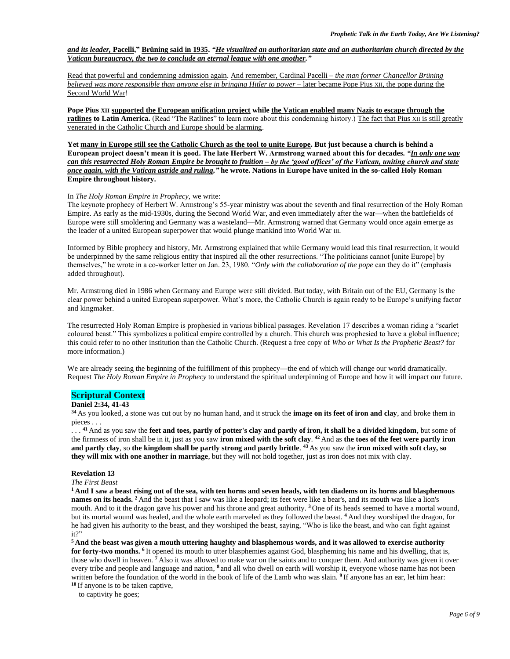### *and its leader,* **Pacelli," Brüning said in 1935.** *"He visualized an authoritarian state and an authoritarian church directed by the Vatican bureaucracy, the two to conclude an eternal league with one another."*

Read that powerful and condemning admission again. And remember, Cardinal Pacelli – *the man former Chancellor Brüning believed was more responsible than anyone else in bringing Hitler to power* – later became Pope Pius XII, the pope during the Second World War!

**Pope Pius XII supported the European unification project while the Vatican enabled many Nazis to escape through the ratlines to Latin America.** (Read "The Ratlines" to learn more about this condemning history.) The fact that Pius XII is still greatly venerated in the Catholic Church and Europe should be alarming.

**Yet many in Europe still see the Catholic Church as the tool to unite Europe. But just because a church is behind a European project doesn't mean it is good. The late Herbert W. Armstrong warned about this for decades.** *"In only one way can this resurrected Holy Roman Empire be brought to fruition – by the 'good offices' of the Vatican, uniting church and state once again, with the Vatican astride and ruling,"* **he wrote. Nations in Europe have united in the so-called Holy Roman Empire throughout history.**

### In *The Holy Roman Empire in Prophecy,* we write:

The keynote prophecy of Herbert W. Armstrong's 55-year ministry was about the seventh and final resurrection of the Holy Roman Empire. As early as the mid-1930s, during the Second World War, and even immediately after the war—when the battlefields of Europe were still smoldering and Germany was a wasteland—Mr. Armstrong warned that Germany would once again emerge as the leader of a united European superpower that would plunge mankind into World War III.

Informed by Bible prophecy and history, Mr. Armstrong explained that while Germany would lead this final resurrection, it would be underpinned by the same religious entity that inspired all the other resurrections. "The politicians cannot [unite Europe] by themselves," he wrote in a co-worker letter on Jan. 23, 1980. "*Only with the collaboration of the pope* can they do it" (emphasis added throughout).

Mr. Armstrong died in 1986 when Germany and Europe were still divided. But today, with Britain out of the EU, Germany is the clear power behind a united European superpower. What's more, the Catholic Church is again ready to be Europe's unifying factor and kingmaker.

The resurrected Holy Roman Empire is prophesied in various biblical passages. Revelation 17 describes a woman riding a "scarlet coloured beast." This symbolizes a political empire controlled by a church. This church was prophesied to have a global influence; this could refer to no other institution than the Catholic Church. (Request a free copy of *Who or What Is the Prophetic Beast?* for more information.)

We are already seeing the beginning of the fulfillment of this prophecy—the end of which will change our world dramatically. Request *The Holy Roman Empire in Prophecy* to understand the spiritual underpinning of Europe and how it will impact our future.

# **Scriptural Context**

### **Daniel 2:34, 41-43**

**<sup>34</sup>** As you looked, a stone was cut out by no human hand, and it struck the **image on its feet of iron and clay**, and broke them in pieces . . .

. . . **<sup>41</sup>** And as you saw the **feet and toes, partly of potter's clay and partly of iron, it shall be a divided kingdom**, but some of the firmness of iron shall be in it, just as you saw **iron mixed with the soft clay**. **<sup>42</sup>** And as **the toes of the feet were partly iron and partly clay**, so **the kingdom shall be partly strong and partly brittle**. **<sup>43</sup>** As you saw the **iron mixed with soft clay, so they will mix with one another in marriage**, but they will not hold together, just as iron does not mix with clay.

### **Revelation 13**

#### *The First Beast*

**<sup>1</sup> And I saw a beast rising out of the sea, with ten horns and seven heads, with ten diadems on its horns and blasphemous names on its heads.** <sup>2</sup> And the beast that I saw was like a leopard; its feet were like a bear's, and its mouth was like a lion's mouth. And to it the dragon gave his power and his throne and great authority. <sup>3</sup>One of its heads seemed to have a mortal wound, but its mortal wound was healed, and the whole earth marveled as they followed the beast. **<sup>4</sup>** And they worshiped the dragon, for he had given his authority to the beast, and they worshiped the beast, saying, "Who is like the beast, and who can fight against it?"

**<sup>5</sup> And the beast was given a mouth uttering haughty and blasphemous words, and it was allowed to exercise authority**  for forty-two months. <sup>6</sup> It opened its mouth to utter blasphemies against God, blaspheming his name and his dwelling, that is, those who dwell in heaven. **<sup>7</sup>** Also it was allowed to make war on the saints and to conquer them. And authority was given it over every tribe and people and language and nation, <sup>8</sup> and all who dwell on earth will worship it, everyone whose name has not been written before the foundation of the world in the book of life of the Lamb who was slain. **9** If anyone has an ear, let him hear: **<sup>10</sup>** If anyone is to be taken captive,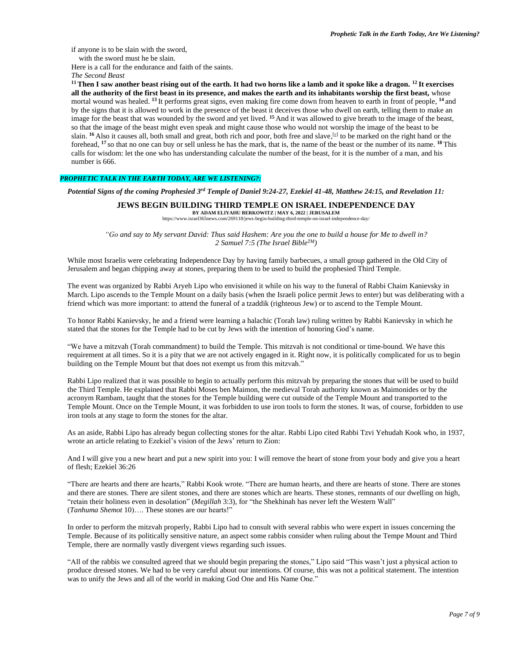if anyone is to be slain with the sword,

with the sword must he be slain.

Here is a call for the endurance and faith of the saints.

*The Second Beast*

**<sup>11</sup> Then I saw another beast rising out of the earth. It had two horns like a lamb and it spoke like a dragon. <sup>12</sup> It exercises all the authority of the first beast in its presence, and makes the earth and its inhabitants worship the first beast,** whose mortal wound was healed. <sup>13</sup> It performs great signs, even making fire come down from heaven to earth in front of people, <sup>14</sup> and by the signs that it is allowed to work in the presence of the beast it deceives those who dwell on earth, telling them to make an image for the beast that was wounded by the sword and yet lived. **<sup>15</sup>** And it was allowed to give breath to the image of the beast, so that the image of the beast might even speak and might cause those who would not worship the image of the beast to be slain. <sup>16</sup> Also it causes all, both small and great, both rich and poor, both free and slave, <sup>[c]</sup> to be marked on the right hand or the forehead, **<sup>17</sup>** so that no one can buy or sell unless he has the mark, that is, the name of the beast or the number of its name. **<sup>18</sup>** This calls for wisdom: let the one who has understanding calculate the number of the beast, for it is the number of a man, and his number is 666.

## *PROPHETIC TALK IN THE EARTH TODAY, ARE WE LISTENING?:*

*Potential Signs of the coming Prophesied 3 rd Temple of Daniel 9:24-27, Ezekiel 41-48, Matthew 24:15, and Revelation 11:*

# **JEWS BEGIN BUILDING THIRD TEMPLE ON ISRAEL INDEPENDENCE DAY**

**BY ADAM ELIYAHU BERKOWITZ | MAY 6, 2022 | JERUSALEM** https://www.israel365news.com/269118/jews-begin-building-third-temple-on-israel-independence-day/

"Go and say to My servant David: Thus said Hashem: Are you the one to build a house for Me to dwell in? *2 Samuel 7:5 (The Israel BibleTM)*

While most Israelis were celebrating Independence Day by having family barbecues, a small group gathered in the Old City of Jerusalem and began chipping away at stones, preparing them to be used to build the prophesied Third Temple.

The event was organized by Rabbi Aryeh Lipo who envisioned it while on his way to the funeral of Rabbi Chaim Kanievsky in March. Lipo ascends to the Temple Mount on a daily basis (when the Israeli police permit Jews to enter) but was deliberating with a friend which was more important: to attend the funeral of a tzaddik (righteous Jew) or to ascend to the Temple Mount.

To honor Rabbi Kanievsky, he and a friend were learning a halachic (Torah law) ruling written by Rabbi Kanievsky in which he stated that the stones for the Temple had to be cut by Jews with the intention of honoring God's name.

"We have a mitzvah (Torah commandment) to build the Temple. This mitzvah is not conditional or time-bound. We have this requirement at all times. So it is a pity that we are not actively engaged in it. Right now, it is politically complicated for us to begin building on the Temple Mount but that does not exempt us from this mitzvah."

Rabbi Lipo realized that it was possible to begin to actually perform this mitzvah by preparing the stones that will be used to build the Third Temple. He explained that Rabbi Moses ben Maimon, the medieval Torah authority known as Maimonides or by the acronym Rambam, taught that the stones for the Temple building were cut outside of the Temple Mount and transported to the Temple Mount. Once on the Temple Mount, it was forbidden to use iron tools to form the stones. It was, of course, forbidden to use iron tools at any stage to form the stones for the altar.

As an aside, Rabbi Lipo has already begun collecting stones for the altar. Rabbi Lipo cited Rabbi Tzvi Yehudah Kook who, in 1937, wrote an article relating to Ezekiel's vision of the Jews' return to Zion:

And I will give you a new heart and put a new spirit into you: I will remove the heart of stone from your body and give you a heart of flesh; Ezekiel 36:26

"There are hearts and there are hearts," Rabbi Kook wrote. "There are human hearts, and there are hearts of stone. There are stones and there are stones. There are silent stones, and there are stones which are hearts. These stones, remnants of our dwelling on high, "retain their holiness even in desolation" (*Megillah* 3:3), for "the Shekhinah has never left the Western Wall" (*Tanhuma Shemot* 10)…. These stones are our hearts!"

In order to perform the mitzvah properly, Rabbi Lipo had to consult with several rabbis who were expert in issues concerning the Temple. Because of its politically sensitive nature, an aspect some rabbis consider when ruling about the Tempe Mount and Third Temple, there are normally vastly divergent views regarding such issues.

"All of the rabbis we consulted agreed that we should begin preparing the stones," Lipo said "This wasn't just a physical action to produce dressed stones. We had to be very careful about our intentions. Of course, this was not a political statement. The intention was to unify the Jews and all of the world in making God One and His Name One."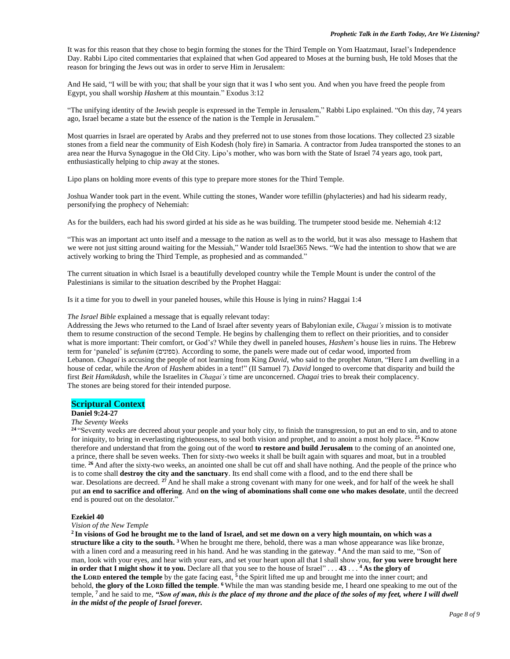It was for this reason that they chose to begin forming the stones for the Third Temple on Yom Haatzmaut, Israel's Independence Day. Rabbi Lipo cited commentaries that explained that when God appeared to Moses at the burning bush, He told Moses that the reason for bringing the Jews out was in order to serve Him in Jerusalem:

And He said, "I will be with you; that shall be your sign that it was I who sent you. And when you have freed the people from Egypt, you shall worship *Hashem* at this mountain." Exodus 3:12

"The unifying identity of the Jewish people is expressed in the Temple in Jerusalem," Rabbi Lipo explained. "On this day, 74 years ago, Israel became a state but the essence of the nation is the Temple in Jerusalem."

Most quarries in Israel are operated by Arabs and they preferred not to use stones from those locations. They collected 23 sizable stones from a field near the community of Eish Kodesh (holy fire) in Samaria. A contractor from Judea transported the stones to an area near the Hurva Synagogue in the Old City. Lipo's mother, who was born with the State of Israel 74 years ago, took part, enthusiastically helping to chip away at the stones.

Lipo plans on holding more events of this type to prepare more stones for the Third Temple.

Joshua Wander took part in the event. While cutting the stones, Wander wore tefillin (phylacteries) and had his sidearm ready, personifying the prophecy of Nehemiah:

As for the builders, each had his sword girded at his side as he was building. The trumpeter stood beside me. Nehemiah 4:12

"This was an important act unto itself and a message to the nation as well as to the world, but it was also message to Hashem that we were not just sitting around waiting for the Messiah," Wander told Israel365 News. "We had the intention to show that we are actively working to bring the Third Temple, as prophesied and as commanded."

The current situation in which Israel is a beautifully developed country while the Temple Mount is under the control of the Palestinians is similar to the situation described by the Prophet Haggai:

Is it a time for you to dwell in your paneled houses, while this House is lying in ruins? Haggai 1:4

*The Israel Bible* explained a message that is equally relevant today:

Addressing the Jews who returned to the Land of Israel after seventy years of Babylonian exile, *Chagai's* mission is to motivate them to resume construction of the second Temple. He begins by challenging them to reflect on their priorities, and to consider what is more important: Their comfort, or God's? While they dwell in paneled houses, *Hashem*'s house lies in ruins. The Hebrew term for 'paneled' is *sefunim* (ספונים(. According to some, the panels were made out of cedar wood, imported from Lebanon. *Chagai* is accusing the people of not learning from King *David*, who said to the prophet *Natan*, "Here I am dwelling in a house of cedar, while the *Aron* of *Hashem* abides in a tent!" (II Samuel 7). *David* longed to overcome that disparity and build the first *Beit Hamikdash*, while the Israelites in *Chagai's* time are unconcerned. *Chagai* tries to break their complacency. The stones are being stored for their intended purpose.

# **Scriptural Context**

### **Daniel 9:24-27**

### *The Seventy Weeks*

**<sup>24</sup>** "Seventy weeks are decreed about your people and your holy city, to finish the transgression, to put an end to sin, and to atone for iniquity, to bring in everlasting righteousness, to seal both vision and prophet, and to anoint a most holy place. **<sup>25</sup>** Know therefore and understand that from the going out of the word **to restore and build Jerusalem** to the coming of an anointed one, a prince, there shall be seven weeks. Then for sixty-two weeks it shall be built again with squares and moat, but in a troubled time. <sup>26</sup> And after the sixty-two weeks, an anointed one shall be cut off and shall have nothing. And the people of the prince who is to come shall **destroy the city and the sanctuary**. Its end shall come with a flood, and to the end there shall be war. Desolations are decreed. <sup>27</sup> And he shall make a strong covenant with many for one week, and for half of the week he shall put **an end to sacrifice and offering**. And **on the wing of abominations shall come one who makes desolate**, until the decreed end is poured out on the desolator."

### **Ezekiel 40**

#### *Vision of the New Temple*

**2 In visions of God he brought me to the land of Israel, and set me down on a very high mountain, on which was a structure like a city to the south. <sup>3</sup>** When he brought me there, behold, there was a man whose appearance was like bronze, with a linen cord and a measuring reed in his hand. And he was standing in the gateway. <sup>4</sup> And the man said to me, "Son of man, look with your eyes, and hear with your ears, and set your heart upon all that I shall show you, **for you were brought here in order that I might show it to you.** Declare all that you see to the house of Israel" . . . **43** . . . **<sup>4</sup> As the glory of the LORD entered the temple** by the gate facing east, **<sup>5</sup>** the Spirit lifted me up and brought me into the inner court; and behold, **the glory of the LORD filled the temple**. **<sup>6</sup>** While the man was standing beside me, I heard one speaking to me out of the temple, **<sup>7</sup>** and he said to me, *"Son of man, this is the place of my throne and the place of the soles of my feet, where I will dwell in the midst of the people of Israel forever.*